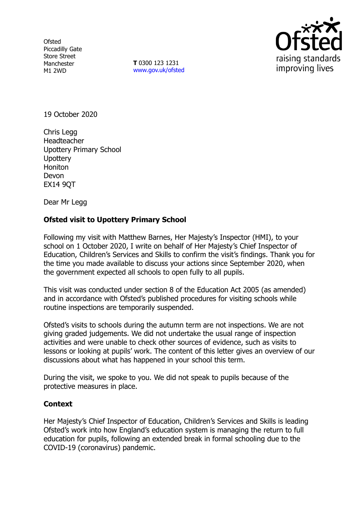**Ofsted** Piccadilly Gate Store Street Manchester M1 2WD

**T** 0300 123 1231 [www.gov.uk/ofsted](http://www.gov.uk/ofsted)



19 October 2020

Chris Legg Headteacher Upottery Primary School **Upottery** Honiton Devon EX14 9QT

Dear Mr Legg

## **Ofsted visit to Upottery Primary School**

Following my visit with Matthew Barnes, Her Majesty's Inspector (HMI), to your school on 1 October 2020, I write on behalf of Her Majesty's Chief Inspector of Education, Children's Services and Skills to confirm the visit's findings. Thank you for the time you made available to discuss your actions since September 2020, when the government expected all schools to open fully to all pupils.

This visit was conducted under section 8 of the Education Act 2005 (as amended) and in accordance with Ofsted's published procedures for visiting schools while routine inspections are temporarily suspended.

Ofsted's visits to schools during the autumn term are not inspections. We are not giving graded judgements. We did not undertake the usual range of inspection activities and were unable to check other sources of evidence, such as visits to lessons or looking at pupils' work. The content of this letter gives an overview of our discussions about what has happened in your school this term.

During the visit, we spoke to you. We did not speak to pupils because of the protective measures in place.

## **Context**

Her Majesty's Chief Inspector of Education, Children's Services and Skills is leading Ofsted's work into how England's education system is managing the return to full education for pupils, following an extended break in formal schooling due to the COVID-19 (coronavirus) pandemic.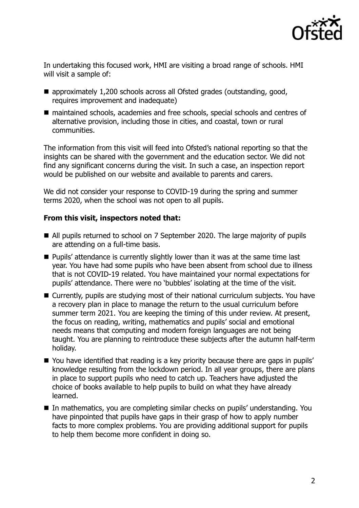

In undertaking this focused work, HMI are visiting a broad range of schools. HMI will visit a sample of:

- approximately 1,200 schools across all Ofsted grades (outstanding, good, requires improvement and inadequate)
- maintained schools, academies and free schools, special schools and centres of alternative provision, including those in cities, and coastal, town or rural communities.

The information from this visit will feed into Ofsted's national reporting so that the insights can be shared with the government and the education sector. We did not find any significant concerns during the visit. In such a case, an inspection report would be published on our website and available to parents and carers.

We did not consider your response to COVID-19 during the spring and summer terms 2020, when the school was not open to all pupils.

## **From this visit, inspectors noted that:**

- All pupils returned to school on 7 September 2020. The large majority of pupils are attending on a full-time basis.
- **Pupils'** attendance is currently slightly lower than it was at the same time last year. You have had some pupils who have been absent from school due to illness that is not COVID-19 related. You have maintained your normal expectations for pupils' attendance. There were no 'bubbles' isolating at the time of the visit.
- Currently, pupils are studying most of their national curriculum subjects. You have a recovery plan in place to manage the return to the usual curriculum before summer term 2021. You are keeping the timing of this under review. At present, the focus on reading, writing, mathematics and pupils' social and emotional needs means that computing and modern foreign languages are not being taught. You are planning to reintroduce these subjects after the autumn half-term holiday.
- You have identified that reading is a key priority because there are gaps in pupils' knowledge resulting from the lockdown period. In all year groups, there are plans in place to support pupils who need to catch up. Teachers have adjusted the choice of books available to help pupils to build on what they have already learned.
- In mathematics, you are completing similar checks on pupils' understanding. You have pinpointed that pupils have gaps in their grasp of how to apply number facts to more complex problems. You are providing additional support for pupils to help them become more confident in doing so.